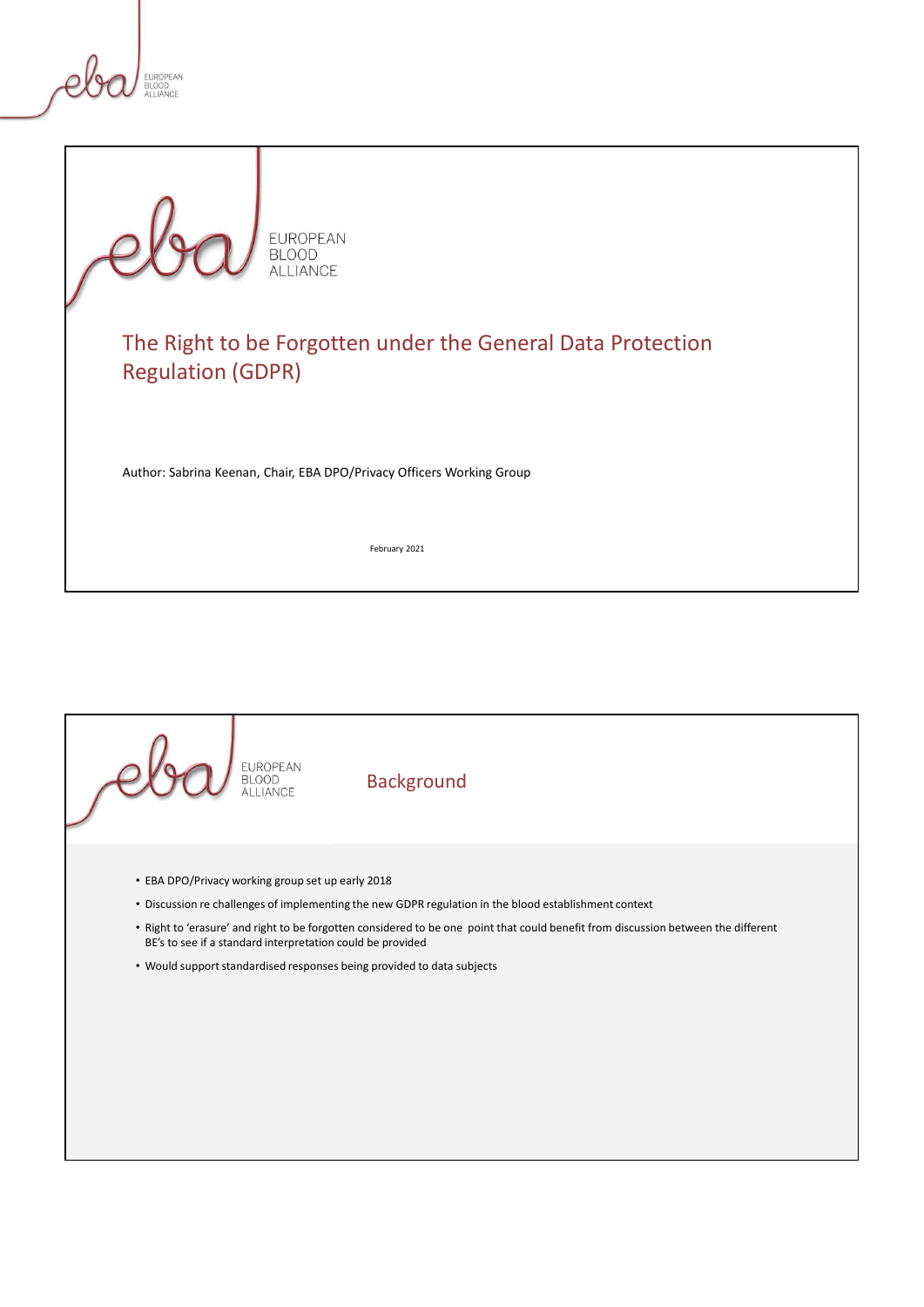



# The Right to be Forgotten under the General Data Protection Regulation (GDPR)

Author: Sabrina Keenan, Chair, EBA DPO/Privacy Officers Working Group

February 2021

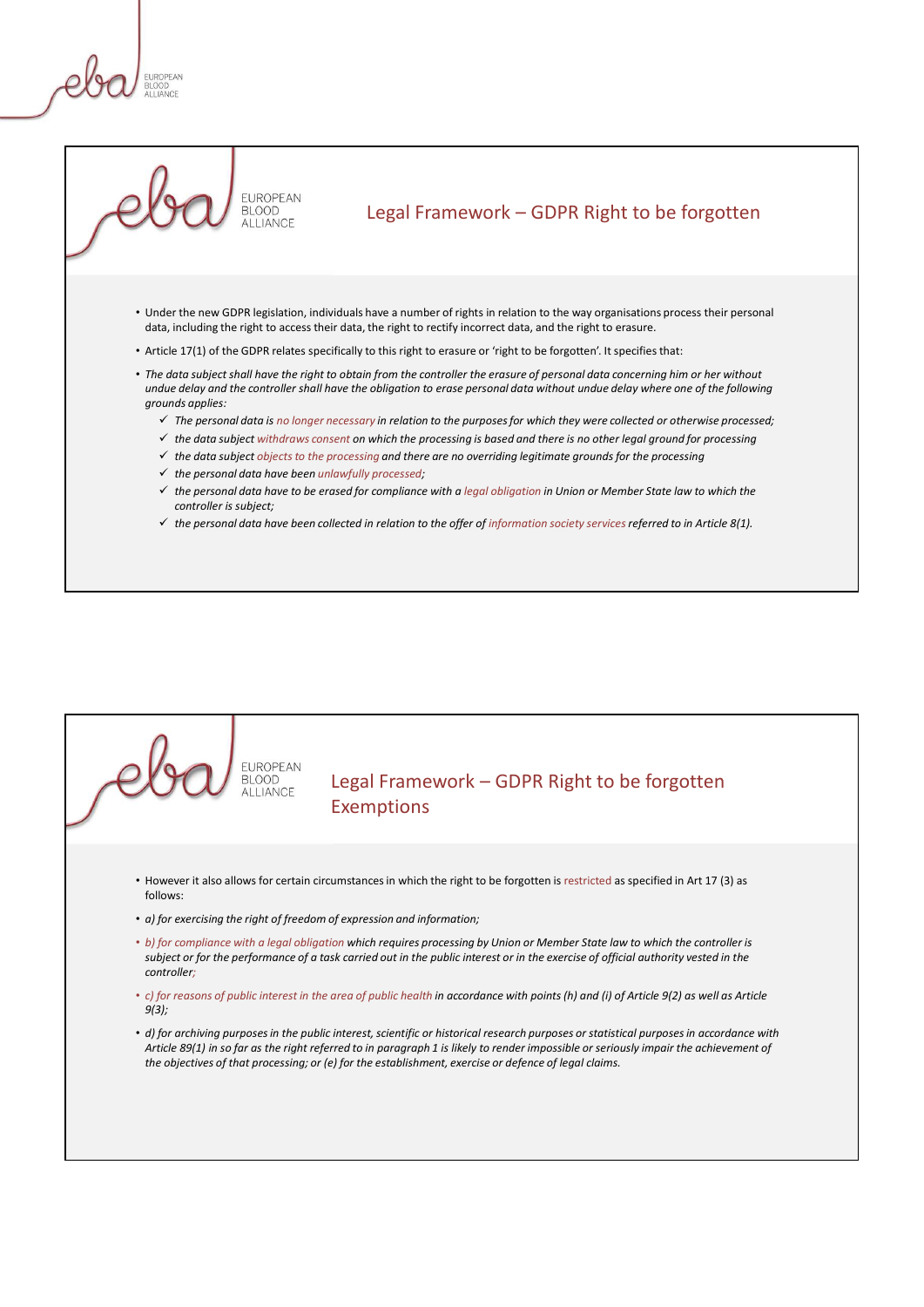

- Legal Framework GDPR Right to be forgotten<br>have a number of rights in relation to the way organisations process their personal<br>the right to rectify incorrect data, and the right to erasure. • Under the new GDPR legislation, individuals have a number of rights in relation to the way organisations process their personal data, including the right to access their data, the right to rectify incorrect data, and the right to erasure.
- Article 17(1) of the GDPR relates specifically to this right to erasure or 'right to be forgotten'. It specifies that:
- The data subject shall have the right to obtain from the controller the erasure of personal data concerning him or her without undue delay and the controller shall have the obligation to erase personal data without undue delay where one of the following grounds applies:
	- $\checkmark$  The personal data is no longer necessary in relation to the purposes for which they were collected or otherwise processed;
	- $\checkmark$  the data subject withdraws consent on which the processing is based and there is no other legal ground for processing
	- $\checkmark$  the data subject objects to the processing and there are no overriding legitimate grounds for the processing
	- $\checkmark$  the personal data have been unlawfully processed;
	- $\checkmark$  the personal data have to be erased for compliance with a legal obligation in Union or Member State law to which the controller is subject;
	- $\checkmark$  the personal data have been collected in relation to the offer of information society services referred to in Article 8(1).

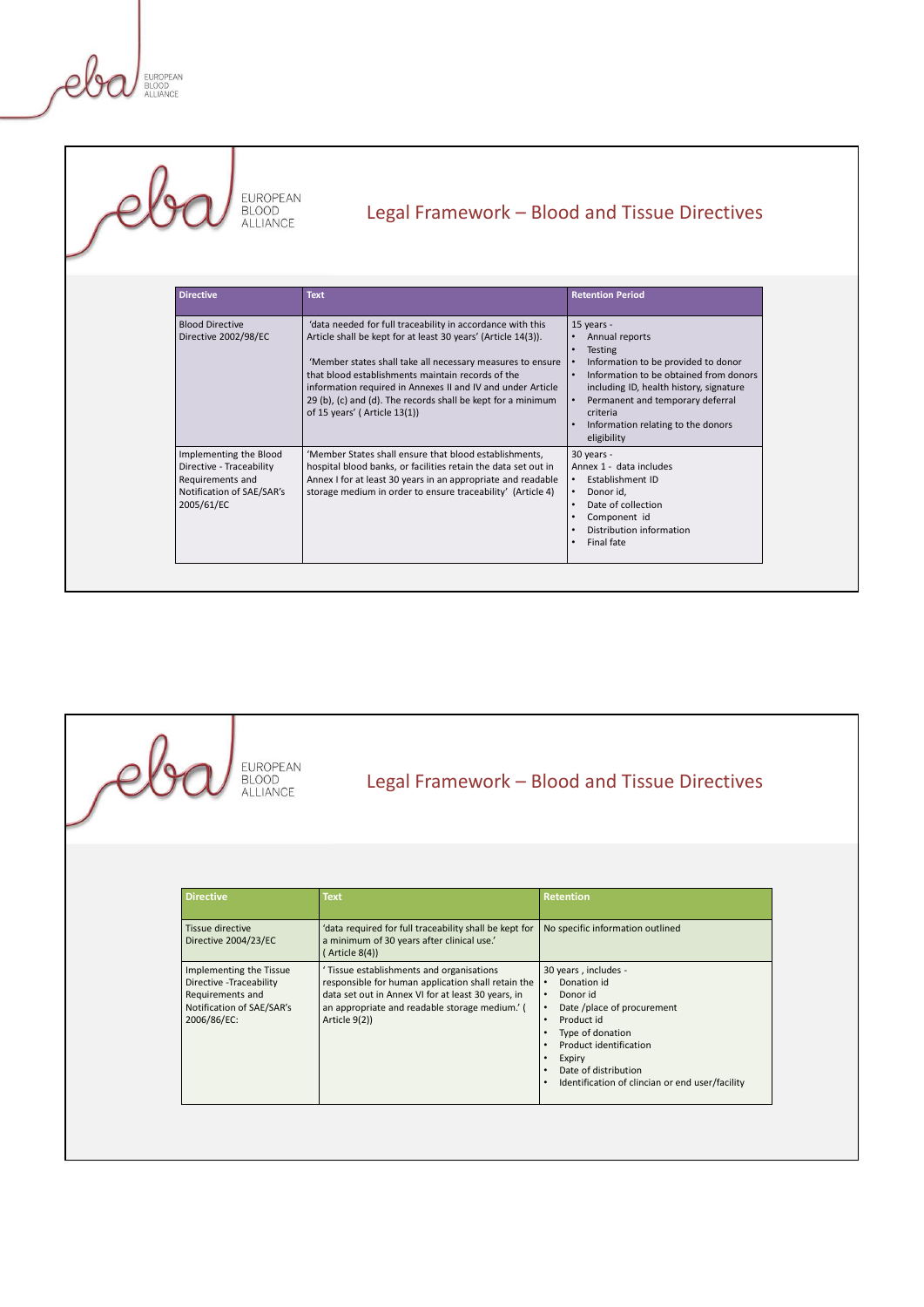eb

| EUROPEAN<br>BLOOD<br><b>ILLIANCE</b> |                                                                                                                   |                                                                                                                                                                                                                                                                                                                                                                                                                                                                           |                                                                                                                                                                                                                                                                                            |  |
|--------------------------------------|-------------------------------------------------------------------------------------------------------------------|---------------------------------------------------------------------------------------------------------------------------------------------------------------------------------------------------------------------------------------------------------------------------------------------------------------------------------------------------------------------------------------------------------------------------------------------------------------------------|--------------------------------------------------------------------------------------------------------------------------------------------------------------------------------------------------------------------------------------------------------------------------------------------|--|
|                                      | EUROPEAN<br><b>BLOOD</b><br><b>ALLIANCE</b>                                                                       | Legal Framework - Blood and Tissue Directives                                                                                                                                                                                                                                                                                                                                                                                                                             |                                                                                                                                                                                                                                                                                            |  |
|                                      | Directive                                                                                                         | <b>Text</b>                                                                                                                                                                                                                                                                                                                                                                                                                                                               | <b>Retention Period</b>                                                                                                                                                                                                                                                                    |  |
|                                      | <b>Blood Directive</b><br>Directive 2002/98/EC                                                                    | 'data needed for full traceability in accordance with this<br>Article shall be kept for at least 30 years' (Article 14(3)).<br>'Member states shall take all necessary measures to ensure  <br>that blood establishments maintain records of the<br>information required in Annexes II and IV and under Article<br>29 (b), (c) and (d). The records shall be kept for a minimum<br>of 15 years' (Article 13(1))<br>'Member States shall ensure that blood establishments, | 15 years -<br>• Annual reports<br>• Testing<br>Information to be provided to donor<br>Information to be obtained from donors<br>including ID, health history, signature<br>Permanent and temporary deferral<br>criteria<br>Information relating to the donors<br>eligibility<br>30 years - |  |
|                                      | Implementing the Blood<br>Directive - Traceability<br>Requirements and<br>Notification of SAE/SAR's<br>2005/61/EC | hospital blood banks, or facilities retain the data set out in<br>Annex I for at least 30 years in an appropriate and readable<br>storage medium in order to ensure traceability' (Article 4)                                                                                                                                                                                                                                                                             | Annex 1 - data includes<br>Establishment ID<br>Donor id,<br>Date of collection<br>$\bullet$<br>• Component id<br>Distribution information<br>Final fate                                                                                                                                    |  |
|                                      |                                                                                                                   |                                                                                                                                                                                                                                                                                                                                                                                                                                                                           |                                                                                                                                                                                                                                                                                            |  |
|                                      | EUROPEAN<br>BLOOD<br>ALLIANCE                                                                                     | Legal Framework - Blood and Tissue Directives                                                                                                                                                                                                                                                                                                                                                                                                                             |                                                                                                                                                                                                                                                                                            |  |
|                                      |                                                                                                                   |                                                                                                                                                                                                                                                                                                                                                                                                                                                                           | <b>Retentin</b>                                                                                                                                                                                                                                                                            |  |



| <b>EUROPEAN</b><br><b>BLOOD</b><br>Legal Framework - Blood and Tissue Directives<br><b>ALLIANCE</b>                                                                                                                                                                                                                                                                                                                                                                                                                                                                                                                                  | Component id<br>Distribution information<br>Final fate |  |
|--------------------------------------------------------------------------------------------------------------------------------------------------------------------------------------------------------------------------------------------------------------------------------------------------------------------------------------------------------------------------------------------------------------------------------------------------------------------------------------------------------------------------------------------------------------------------------------------------------------------------------------|--------------------------------------------------------|--|
|                                                                                                                                                                                                                                                                                                                                                                                                                                                                                                                                                                                                                                      |                                                        |  |
|                                                                                                                                                                                                                                                                                                                                                                                                                                                                                                                                                                                                                                      |                                                        |  |
| <b>Directive</b><br>Text<br><b>Retention</b>                                                                                                                                                                                                                                                                                                                                                                                                                                                                                                                                                                                         |                                                        |  |
| Tissue directive<br>'data required for full traceability shall be kept for<br>No specific information outlined<br>Directive 2004/23/EC<br>a minimum of 30 years after clinical use.'<br>( Article 8(4))                                                                                                                                                                                                                                                                                                                                                                                                                              |                                                        |  |
| 'Tissue establishments and organisations<br>30 years, includes -<br>Implementing the Tissue<br>Directive - Traceability<br>responsible for human application shall retain the<br>Donation id<br>$\bullet$<br>data set out in Annex VI for at least 30 years, in<br>Requirements and<br>$\bullet$<br>Donor id<br>Notification of SAE/SAR's<br>an appropriate and readable storage medium.' (<br>Date /place of procurement<br>$\bullet$<br>2006/86/EC:<br>Product id<br>Article 9(2))<br>Type of donation<br>$\bullet$<br>Product identification<br>Expiry<br>Date of distribution<br>Identification of clincian or end user/facility |                                                        |  |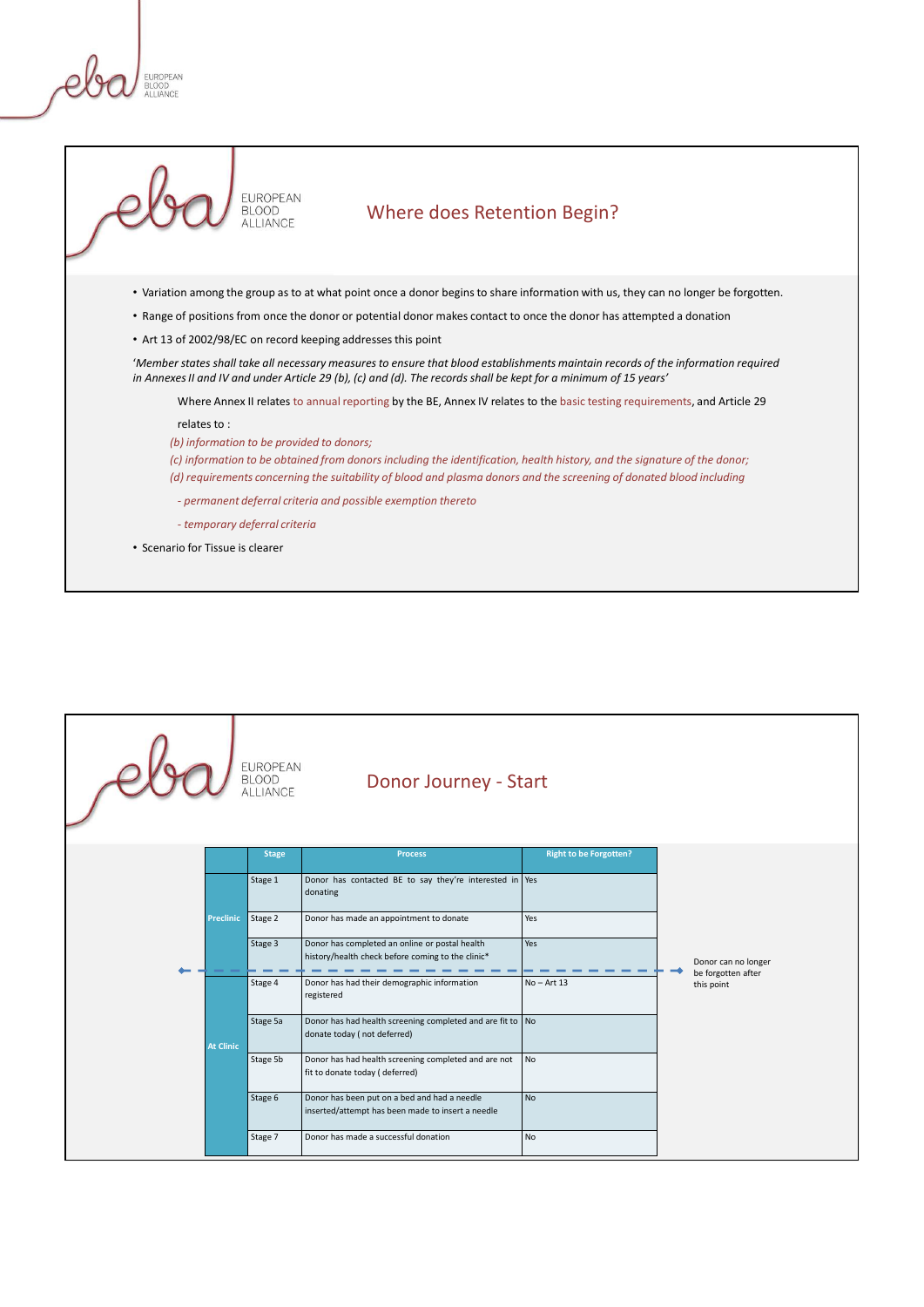

• Scenario for Tissue is clearer

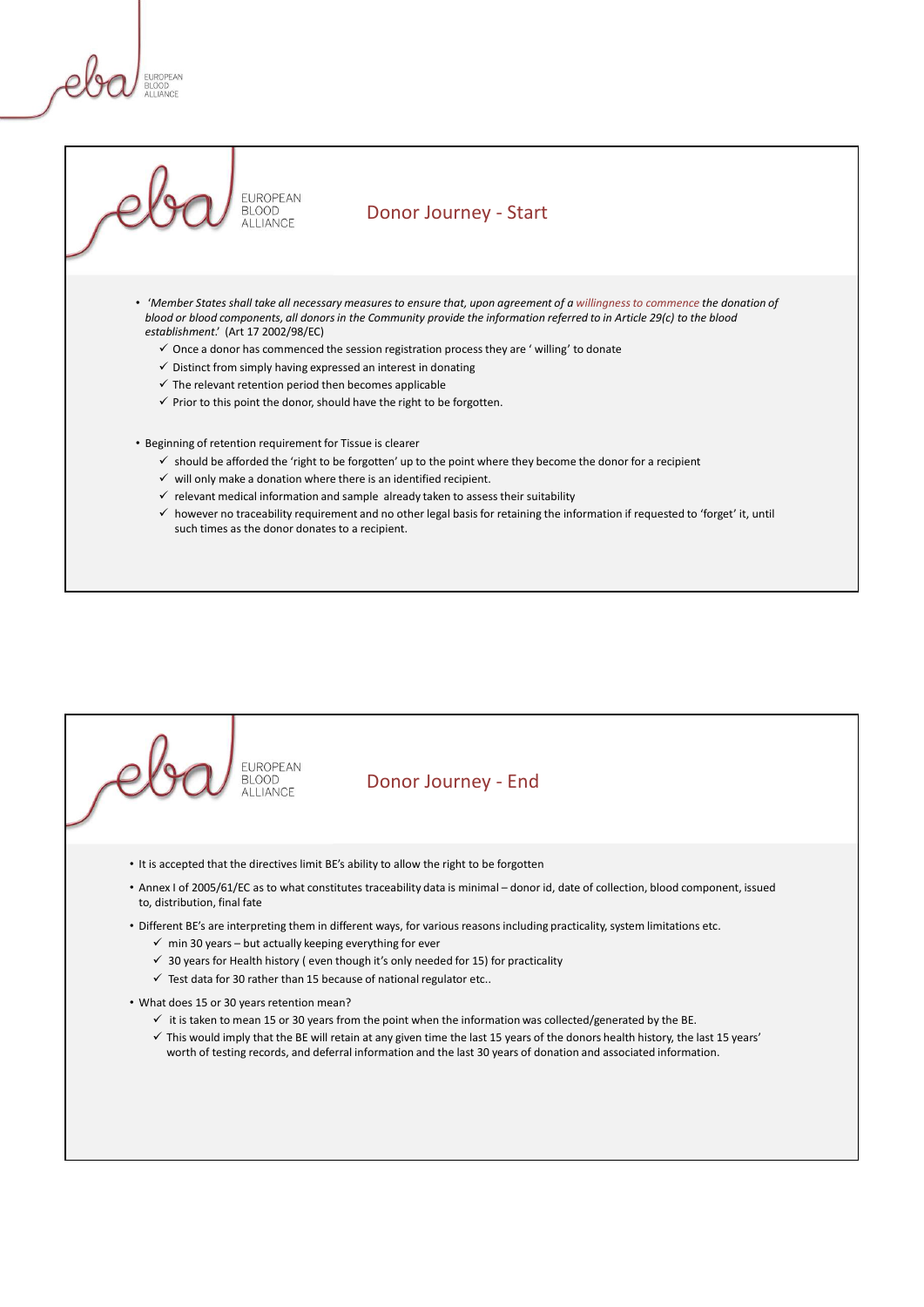# EUROPEAN<br>
BLOGS<br>
• Member States shall take all necessary measures to ensure that, upon agreement of a willingness to commence the donation of<br>
• Member States shall take all necessary measures to ensure that, upon agreeme blood or blood components, all donors in the Community provide the information referred to in Article 29(c) to the blood establishment.' (Art 17 2002/98/EC)  $\checkmark$  Once a donor has commenced the session registration process they are ' willing' to donate  $\checkmark$  Distinct from simply having expressed an interest in donating  $\checkmark$  The relevant retention period then becomes applicable  $\checkmark$  Prior to this point the donor, should have the right to be forgotten. • Beginning of retention requirement for Tissue is clearer  $\checkmark$  should be afforded the 'right to be forgotten' up to the point where they become the donor for a recipient

- $\checkmark$  will only make a donation where there is an identified recipient.  $\checkmark$  relevant medical information and sample already taken to assess their suitability
- $\checkmark$  however no traceability requirement and no other legal basis for retaining the information if requested to 'forget' it, until such times as the donor donates to a recipient.